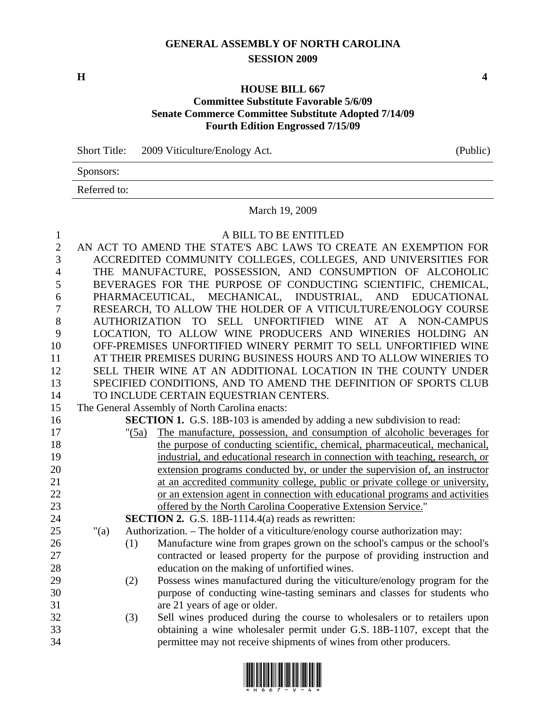## **GENERAL ASSEMBLY OF NORTH CAROLINA SESSION 2009**

**H** 4

## **HOUSE BILL 667 Committee Substitute Favorable 5/6/09 Senate Commerce Committee Substitute Adopted 7/14/09 Fourth Edition Engrossed 7/15/09**

Short Title: 2009 Viticulture/Enology Act. (Public)

Sponsors:

Referred to:

## March 19, 2009

| 1              | A BILL TO BE ENTITLED                                            |          |                                                                                |  |  |  |
|----------------|------------------------------------------------------------------|----------|--------------------------------------------------------------------------------|--|--|--|
| $\overline{2}$ | AN ACT TO AMEND THE STATE'S ABC LAWS TO CREATE AN EXEMPTION FOR  |          |                                                                                |  |  |  |
| 3              | ACCREDITED COMMUNITY COLLEGES, COLLEGES, AND UNIVERSITIES FOR    |          |                                                                                |  |  |  |
| $\overline{4}$ | THE MANUFACTURE, POSSESSION, AND CONSUMPTION OF ALCOHOLIC        |          |                                                                                |  |  |  |
| 5              |                                                                  |          | BEVERAGES FOR THE PURPOSE OF CONDUCTING SCIENTIFIC, CHEMICAL,                  |  |  |  |
| 6              | PHARMACEUTICAL, MECHANICAL, INDUSTRIAL, AND EDUCATIONAL          |          |                                                                                |  |  |  |
| 7              | RESEARCH, TO ALLOW THE HOLDER OF A VITICULTURE/ENOLOGY COURSE    |          |                                                                                |  |  |  |
| 8              | AUTHORIZATION TO SELL UNFORTIFIED WINE AT A NON-CAMPUS           |          |                                                                                |  |  |  |
| 9              | LOCATION, TO ALLOW WINE PRODUCERS AND WINERIES HOLDING AN        |          |                                                                                |  |  |  |
| 10             | OFF-PREMISES UNFORTIFIED WINERY PERMIT TO SELL UNFORTIFIED WINE  |          |                                                                                |  |  |  |
| 11             | AT THEIR PREMISES DURING BUSINESS HOURS AND TO ALLOW WINERIES TO |          |                                                                                |  |  |  |
| 12             | SELL THEIR WINE AT AN ADDITIONAL LOCATION IN THE COUNTY UNDER    |          |                                                                                |  |  |  |
| 13             | SPECIFIED CONDITIONS, AND TO AMEND THE DEFINITION OF SPORTS CLUB |          |                                                                                |  |  |  |
| 14             | TO INCLUDE CERTAIN EQUESTRIAN CENTERS.                           |          |                                                                                |  |  |  |
| 15             | The General Assembly of North Carolina enacts:                   |          |                                                                                |  |  |  |
| 16             |                                                                  |          | <b>SECTION 1.</b> G.S. 18B-103 is amended by adding a new subdivision to read: |  |  |  |
| 17             |                                                                  | " $(5a)$ | The manufacture, possession, and consumption of alcoholic beverages for        |  |  |  |
| 18             |                                                                  |          | the purpose of conducting scientific, chemical, pharmaceutical, mechanical,    |  |  |  |
| 19             |                                                                  |          | industrial, and educational research in connection with teaching, research, or |  |  |  |
| 20             |                                                                  |          | extension programs conducted by, or under the supervision of, an instructor    |  |  |  |
| 21             |                                                                  |          | at an accredited community college, public or private college or university,   |  |  |  |
| 22             |                                                                  |          | or an extension agent in connection with educational programs and activities   |  |  |  |
| 23             |                                                                  |          | offered by the North Carolina Cooperative Extension Service."                  |  |  |  |
| 24             |                                                                  |          | <b>SECTION 2.</b> G.S. 18B-1114.4(a) reads as rewritten:                       |  |  |  |
| 25             | " $(a)$                                                          |          | Authorization. - The holder of a viticulture/enology course authorization may: |  |  |  |
| 26             |                                                                  | (1)      | Manufacture wine from grapes grown on the school's campus or the school's      |  |  |  |
| 27             |                                                                  |          | contracted or leased property for the purpose of providing instruction and     |  |  |  |
| 28             |                                                                  |          | education on the making of unfortified wines.                                  |  |  |  |
| 29             |                                                                  | (2)      | Possess wines manufactured during the viticulture/enology program for the      |  |  |  |
| 30             |                                                                  |          | purpose of conducting wine-tasting seminars and classes for students who       |  |  |  |
| 31             |                                                                  |          | are 21 years of age or older.                                                  |  |  |  |
| 32             |                                                                  | (3)      | Sell wines produced during the course to wholesalers or to retailers upon      |  |  |  |
| 33             |                                                                  |          | obtaining a wine wholesaler permit under G.S. 18B-1107, except that the        |  |  |  |
| 34             |                                                                  |          | permittee may not receive shipments of wines from other producers.             |  |  |  |